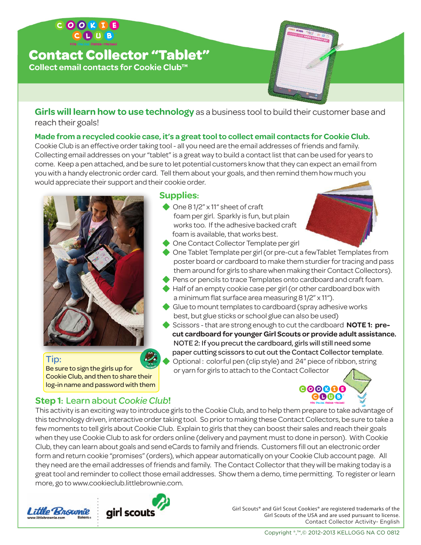## **Contact Collector "Tablet"**

**Collect email contacts for Cookie Club™**

**Girls will learn how to use technology** as a business tool to build their customer base and reach their goals!

#### **Made from a recycled cookie case, it's a great tool to collect email contacts for Cookie Club.**

Cookie Club is an effective order taking tool - all you need are the email addresses of friends and family. Collecting email addresses on your "tablet" is a great way to build a contact list that can be used for years to come. Keep a pen attached, and be sure to let potential customers know that they can expect an email from you with a handy electronic order card. Tell them about your goals, and then remind them how much you would appreciate their support and their cookie order.



#### Tip:

Be sure to sign the girls up for Cookie Club, and then to share their log-in name and password with them

#### **Supplies:**

◆ One 8 1/2" x 11" sheet of craft foam per girl. Sparkly is fun, but plain works too. If the adhesive backed craft foam is available, that works best.



- **One Contact Collector Template per girl**
- One Tablet Template per girl (or pre-cut a fewTablet Templates from poster board or cardboard to make them sturdier for tracing and pass them around for girls to share when making their Contact Collectors).
- **Pens or pencils to trace Templates onto cardboard and craft foam.**
- Half of an empty cookie case per girl (or other cardboard box with a minimum flat surface area measuring 8 1/2" x 11").
- Glue to mount templates to cardboard (spray adhesive works best, but glue sticks or school glue can also be used)
- Scissors that are strong enough to cut the cardboard **NOTE 1: pre cut cardboard for younger Girl Scouts or provide adult assistance.** NOTE 2: If you precut the cardboard, girls will still need some paper cutting scissors to cut out the Contact Collector template.
- Optional : colorful pen (clip style) and 24" piece of ribbon, string or yarn for girls to attach to the Contact Collector



### **Step 1:** Learn about *Cookie Club***!**

This activity is an exciting way to introduce girls to the Cookie Club, and to help them prepare to take advantage of this technology driven, interactive order taking tool. So prior to making these Contact Collectors, be sure to take a few moments to tell girls about Cookie Club. Explain to girls that they can boost their sales and reach their goals when they use Cookie Club to ask for orders online (delivery and payment must to done in person). With Cookie Club, they can learn about goals and send eCards to family and friends. Customers fill out an electronic order form and return cookie "promises" (orders), which appear automatically on your Cookie Club account page. All they need are the email addresses of friends and family. The Contact Collector that they will be making today is a great tool and reminder to collect those email addresses. Show them a demo, time permitting. To register or learn more, go to www.cookieclub.littlebrownie.com.





Girl Scouts® and Girl Scout Cookies® are registered trademarks of the Girl Scouts of the USA and are used pursuant to license. Contact Collector Activity- English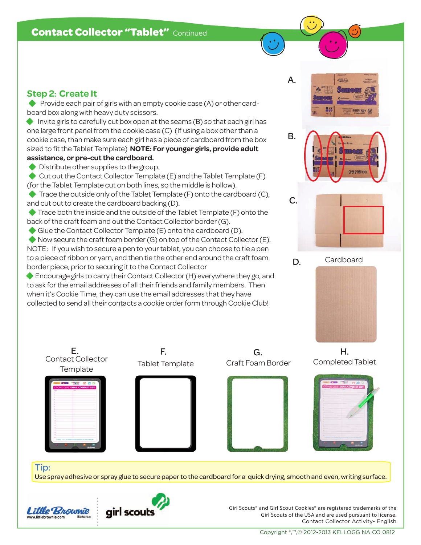#### **Step 2: Create It**

**• Provide each pair of girls with an empty cookie case (A) or other card**board box along with heavy duty scissors.

**Invite girls to carefully cut box open at the seams (B) so that each girl has** one large front panel from the cookie case (C) (If using a box other than a cookie case, than make sure each girl has a piece of cardboard from the box sized to fit the Tablet Template) **NOTE: For younger girls, provide adult assistance, or pre-cut the cardboard.**

**•** Distribute other supplies to the group.

◆ Cut out the Contact Collector Template (E) and the Tablet Template (F) (for the Tablet Template cut on both lines, so the middle is hollow).

Trace the outside only of the Tablet Template (F) onto the cardboard (C), and cut out to create the cardboard backing (D).

**Trace both the inside and the outside of the Tablet Template (F) onto the** back of the craft foam and out the Contact Collector border (G).

Glue the Contact Collector Template (E) onto the cardboard (D).

E. **F.** F.

 Now secure the craft foam border (G) on top of the Contact Collector (E). NOTE: If you wish to secure a pen to your tablet, you can choose to tie a pen to a piece of ribbon or yarn, and then tie the other end around the craft foam border piece, prior to securing it to the Contact Collector

Encourage girls to carry their Contact Collector (H) everywhere they go, and to ask for the email addresses of all their friends and family members. Then when it's Cookie Time, they can use the email addresses that they have collected to send all their contacts a cookie order form through Cookie Club!





Tip:

Use spray adhesive or spray glue to secure paper to the cardboard for a quick drying, smooth and even, writing surface.

G.



Contact Collector **Template** 



Girl Scouts® and Girl Scout Cookies® are registered trademarks of the Girl Scouts of the USA and are used pursuant to license. Contact Collector Activity- English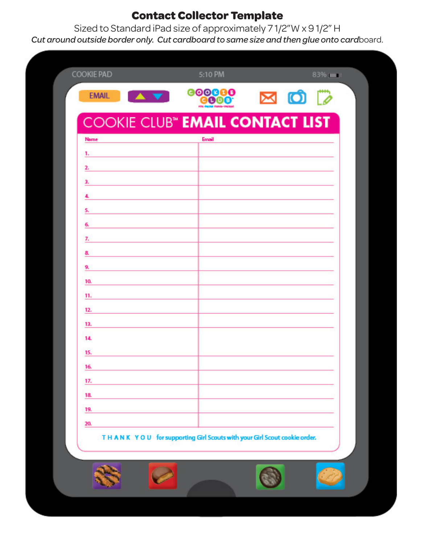# **Contact Collector Template**

Sized to Standard iPad size of approximately 7 1/2"W x 9 1/2" H *Cut around outside border only. Cut cardboard to same size and then glue onto card*board.

| <b>AV</b><br><b>EMAIL</b>                                               | 000000<br><b>CO00</b> | <b>NOP</b> |
|-------------------------------------------------------------------------|-----------------------|------------|
| <b>COOKIE CLUB<sup>®</sup> EMAIL CONTACT LIST</b>                       |                       |            |
| Name                                                                    | Email                 |            |
| ъ.                                                                      |                       |            |
| 2.                                                                      |                       |            |
| з.                                                                      |                       |            |
| 4.                                                                      |                       |            |
| 5.                                                                      |                       |            |
| 6.                                                                      |                       |            |
| 7.                                                                      |                       |            |
| 8.                                                                      |                       |            |
| 9.                                                                      |                       |            |
| 10.                                                                     |                       |            |
| 11.                                                                     |                       |            |
| 12.                                                                     |                       |            |
| 13.                                                                     |                       |            |
| 14.                                                                     |                       |            |
| 15.                                                                     |                       |            |
| 16.                                                                     |                       |            |
| 17.                                                                     |                       |            |
| 18.                                                                     |                       |            |
| 19.                                                                     |                       |            |
| 20.                                                                     |                       |            |
| THANK YOU for supporting Girl Scouts with your Girl Scout cookie order. |                       |            |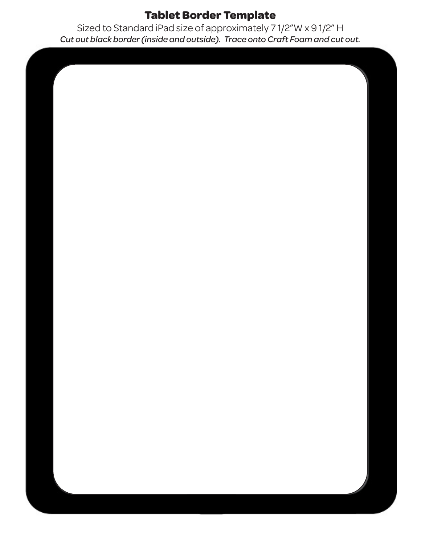## **Tablet Border Template**

Sized to Standard iPad size of approximately 7 1/2"W x 9 1/2" H *Cut out black border (inside and outside). Trace onto Craft Foam and cut out.*